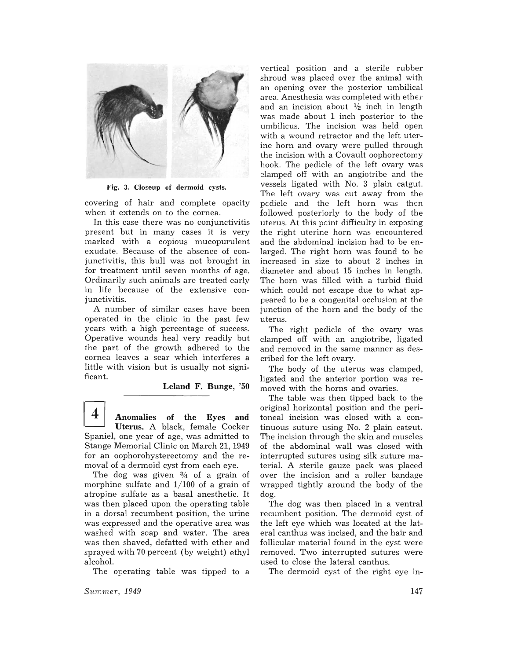

Fig. 3. Closeup of dermoid cysts.

covering of hair and complete opacity when it extends on to the cornea.

In this case there was no conjunctivitis present but in many cases it is very marked with a copious mucopurulent exudate. Because of the absence of conjunctivitis, this bull was not brought in for treatment until seven months of age. Ordinarily such animals are treated early in life because of the extensive conjunctivitis.

A number of similar cases have been operated in the clinic in the past few years with a high percentage of success. Operative wounds heal very readily but the part of the growth adhered to the cornea leaves a scar which interferes a little with vision but is usually not significant.

Leland F. Bunge, '50

I] Anomalies of the Eyes and Uterus. A black, female Cocker Spaniel, one year of age, was admitted to Stange Memorial Clinic on March 21, 1949 for an oophorohysterectomy and the removal of a dermoid cyst from each eye.

The dog was given  $\frac{3}{4}$  of a grain of morphine sulfate and  $1/100$  of a grain of atropine sulfate as a basal anesthetic. It was then placed upon the operating table in a dorsal recumbent position, the urine was expressed and the operative area was washed with soap and water. The area was then shaved, defatted with ether and sprayed with 70 percent (by weight) ethyl alcohol.

The operating table was tipped to a

*Summer, 1949* 

vertical position and a sterile rubber shroud was placed over the animal with an opening over the posterior umbilical area. Anesthesia was completed with ether and an incision about  $\frac{1}{2}$  inch in length was made about 1 inch posterior to the umbilicus. The incision was held open with a wound retractor and the left uterine horn and ovary were pulled through the incision with a Covault oophorectomy hook. The pedicle of the left ovary was clamped off with an angiotribe and the vessels ligated with No. 3 plain catgut. The left ovary was cut away from the pedicle and the left horn was then followed posteriorly to the body of the uterus. At this point difficulty in exposing the right uterine horn was encountered and the abdominal incision had to be enlarged. The right horn was found to be increased in size to about 2 inches in diameter and about 15 inches in length. The horn was filled with a turbid fluid which could not escape due to what appeared to be a congenital occlusion at the junction of the horn and the body of the uterus.

The right pedicle of the ovary was clamped off with an angiotribe, ligated and removed in the same manner as described for the left ovary.

The body of the uterus was clamped, ligated and the anterior portion was removed with the horns and ovaries.

The table was then tipped back to the original horizontal position and the peritoneal incision was closed with a continuous suture using  $No. 2$  plain catgut. The incision through the skin and muscles of the abdominal wall was closed with interrupted sutures using silk suture material. A sterile gauze pack was placed over the incision and a roller bandage wrapped tightly around the body of the dog.

The dog was then placed in a ventral recumbent position. The dermoid cyst of the left eye which was located at the lateral canthus was incised, and the hair and follicular material found in the cyst were removed. Two interrupted sutures were used to close the lateral canthus.

The dermoid cyst of the right eye in-